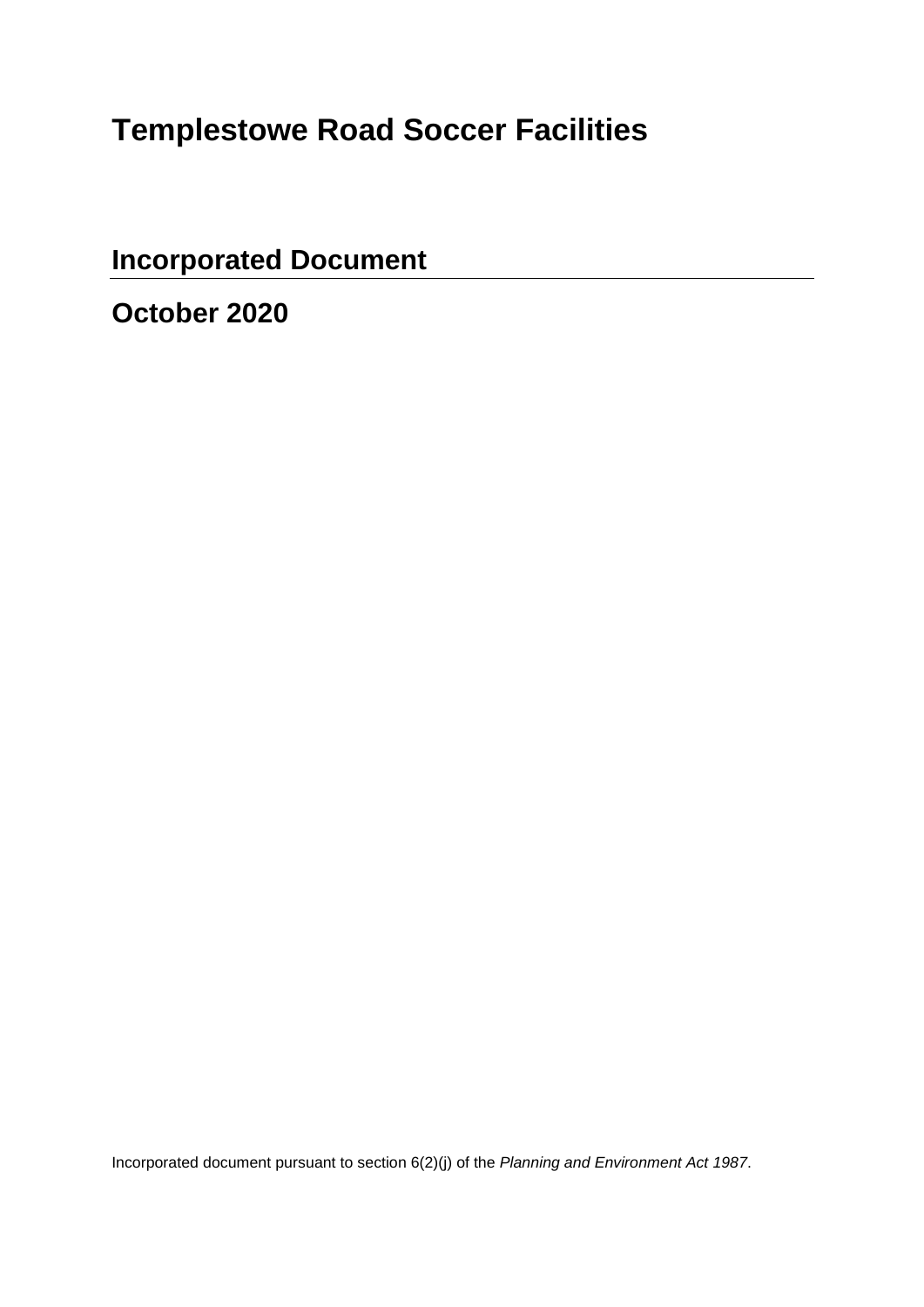# **Templestowe Road Soccer Facilities**

**Incorporated Document** 

**October 2020** 

Incorporated document pursuant to section 6(2)(j) of the *Planning and Environment Act 1987*.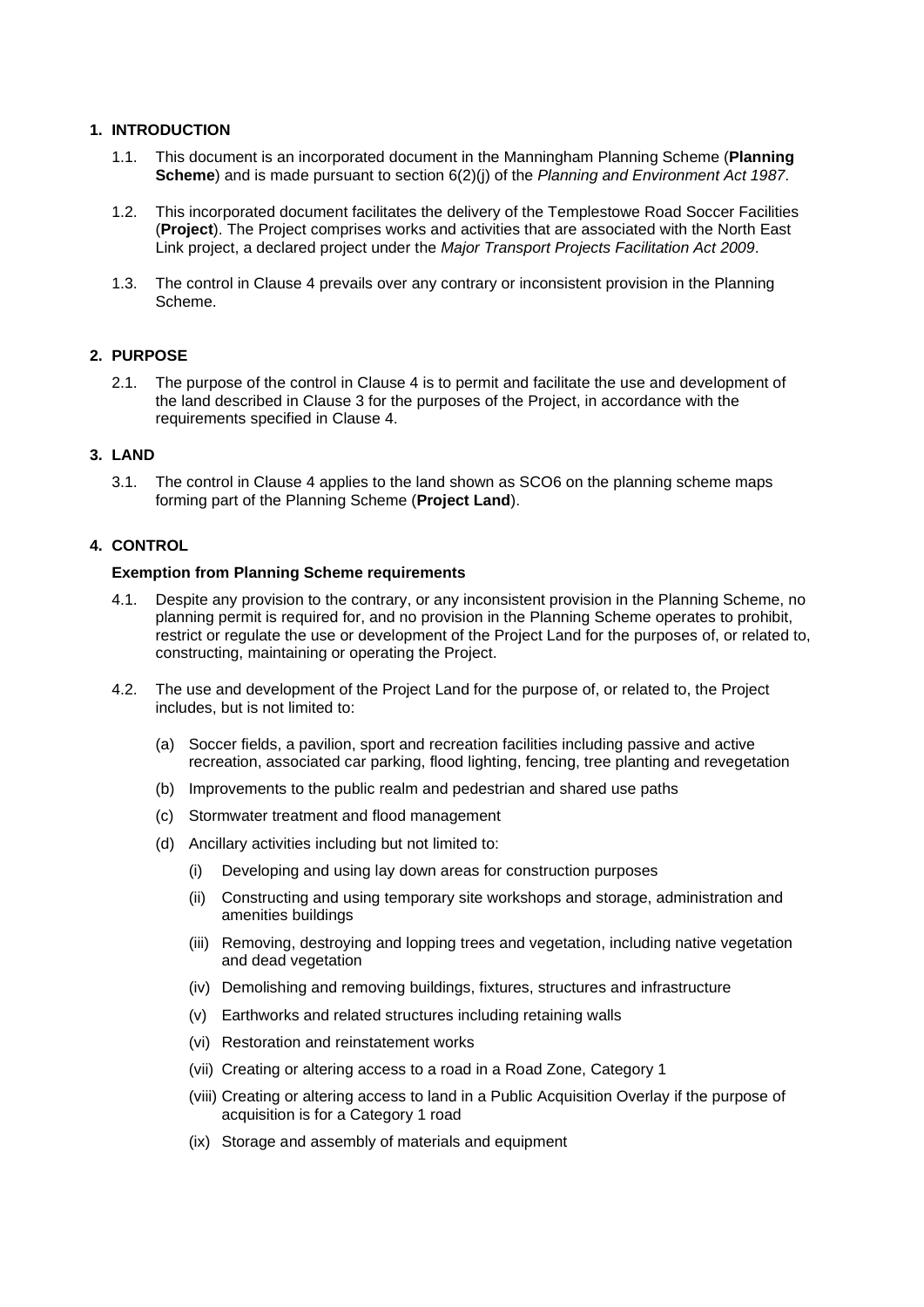## **1. INTRODUCTION**

- 1.1. This document is an incorporated document in the Manningham Planning Scheme (**Planning Scheme**) and is made pursuant to section 6(2)(j) of the *Planning and Environment Act 1987*.
- 1.2. This incorporated document facilitates the delivery of the Templestowe Road Soccer Facilities (**Project**). The Project comprises works and activities that are associated with the North East Link project, a declared project under the *Major Transport Projects Facilitation Act 2009*.
- 1.3. The control in Clause 4 prevails over any contrary or inconsistent provision in the Planning Scheme.

## **2. PURPOSE**

2.1. The purpose of the control in Clause 4 is to permit and facilitate the use and development of the land described in Clause 3 for the purposes of the Project, in accordance with the requirements specified in Clause 4.

## **3. LAND**

3.1. The control in Clause 4 applies to the land shown as SCO6 on the planning scheme maps forming part of the Planning Scheme (**Project Land**).

## **4. CONTROL**

## **Exemption from Planning Scheme requirements**

- 4.1. Despite any provision to the contrary, or any inconsistent provision in the Planning Scheme, no planning permit is required for, and no provision in the Planning Scheme operates to prohibit, restrict or regulate the use or development of the Project Land for the purposes of, or related to, constructing, maintaining or operating the Project.
- 4.2. The use and development of the Project Land for the purpose of, or related to, the Project includes, but is not limited to:
	- (a) Soccer fields, a pavilion, sport and recreation facilities including passive and active recreation, associated car parking, flood lighting, fencing, tree planting and revegetation
	- (b) Improvements to the public realm and pedestrian and shared use paths
	- (c) Stormwater treatment and flood management
	- (d) Ancillary activities including but not limited to:
		- (i) Developing and using lay down areas for construction purposes
		- (ii) Constructing and using temporary site workshops and storage, administration and amenities buildings
		- (iii) Removing, destroying and lopping trees and vegetation, including native vegetation and dead vegetation
		- (iv) Demolishing and removing buildings, fixtures, structures and infrastructure
		- (v) Earthworks and related structures including retaining walls
		- (vi) Restoration and reinstatement works
		- (vii) Creating or altering access to a road in a Road Zone, Category 1
		- (viii) Creating or altering access to land in a Public Acquisition Overlay if the purpose of acquisition is for a Category 1 road
		- (ix) Storage and assembly of materials and equipment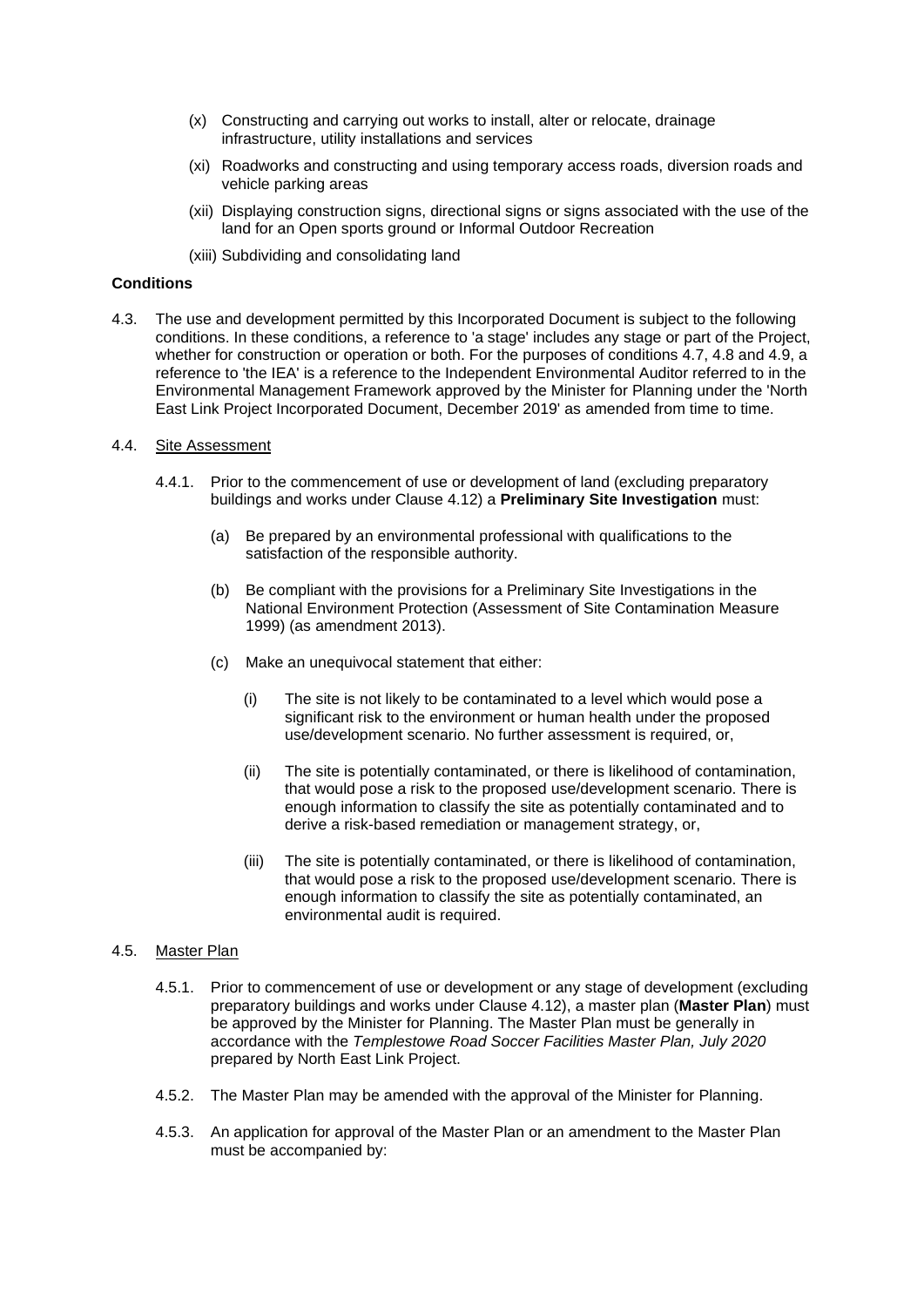- (x) Constructing and carrying out works to install, alter or relocate, drainage infrastructure, utility installations and services
- (xi) Roadworks and constructing and using temporary access roads, diversion roads and vehicle parking areas
- (xii) Displaying construction signs, directional signs or signs associated with the use of the land for an Open sports ground or Informal Outdoor Recreation
- (xiii) Subdividing and consolidating land

## **Conditions**

4.3. The use and development permitted by this Incorporated Document is subject to the following conditions. In these conditions, a reference to 'a stage' includes any stage or part of the Project, whether for construction or operation or both. For the purposes of conditions 4.7, 4.8 and 4.9, a reference to 'the IEA' is a reference to the Independent Environmental Auditor referred to in the Environmental Management Framework approved by the Minister for Planning under the 'North East Link Project Incorporated Document, December 2019' as amended from time to time.

#### 4.4. Site Assessment

- 4.4.1. Prior to the commencement of use or development of land (excluding preparatory buildings and works under Clause 4.12) a **Preliminary Site Investigation** must:
	- (a) Be prepared by an environmental professional with qualifications to the satisfaction of the responsible authority.
	- (b) Be compliant with the provisions for a Preliminary Site Investigations in the National Environment Protection (Assessment of Site Contamination Measure 1999) (as amendment 2013).
	- (c) Make an unequivocal statement that either:
		- (i) The site is not likely to be contaminated to a level which would pose a significant risk to the environment or human health under the proposed use/development scenario. No further assessment is required, or,
		- (ii) The site is potentially contaminated, or there is likelihood of contamination, that would pose a risk to the proposed use/development scenario. There is enough information to classify the site as potentially contaminated and to derive a risk-based remediation or management strategy, or,
		- (iii) The site is potentially contaminated, or there is likelihood of contamination, that would pose a risk to the proposed use/development scenario. There is enough information to classify the site as potentially contaminated, an environmental audit is required.

#### 4.5. Master Plan

- 4.5.1. Prior to commencement of use or development or any stage of development (excluding preparatory buildings and works under Clause 4.12), a master plan (**Master Plan**) must be approved by the Minister for Planning. The Master Plan must be generally in accordance with the *Templestowe Road Soccer Facilities Master Plan, July 2020* prepared by North East Link Project.
- 4.5.2. The Master Plan may be amended with the approval of the Minister for Planning.
- 4.5.3. An application for approval of the Master Plan or an amendment to the Master Plan must be accompanied by: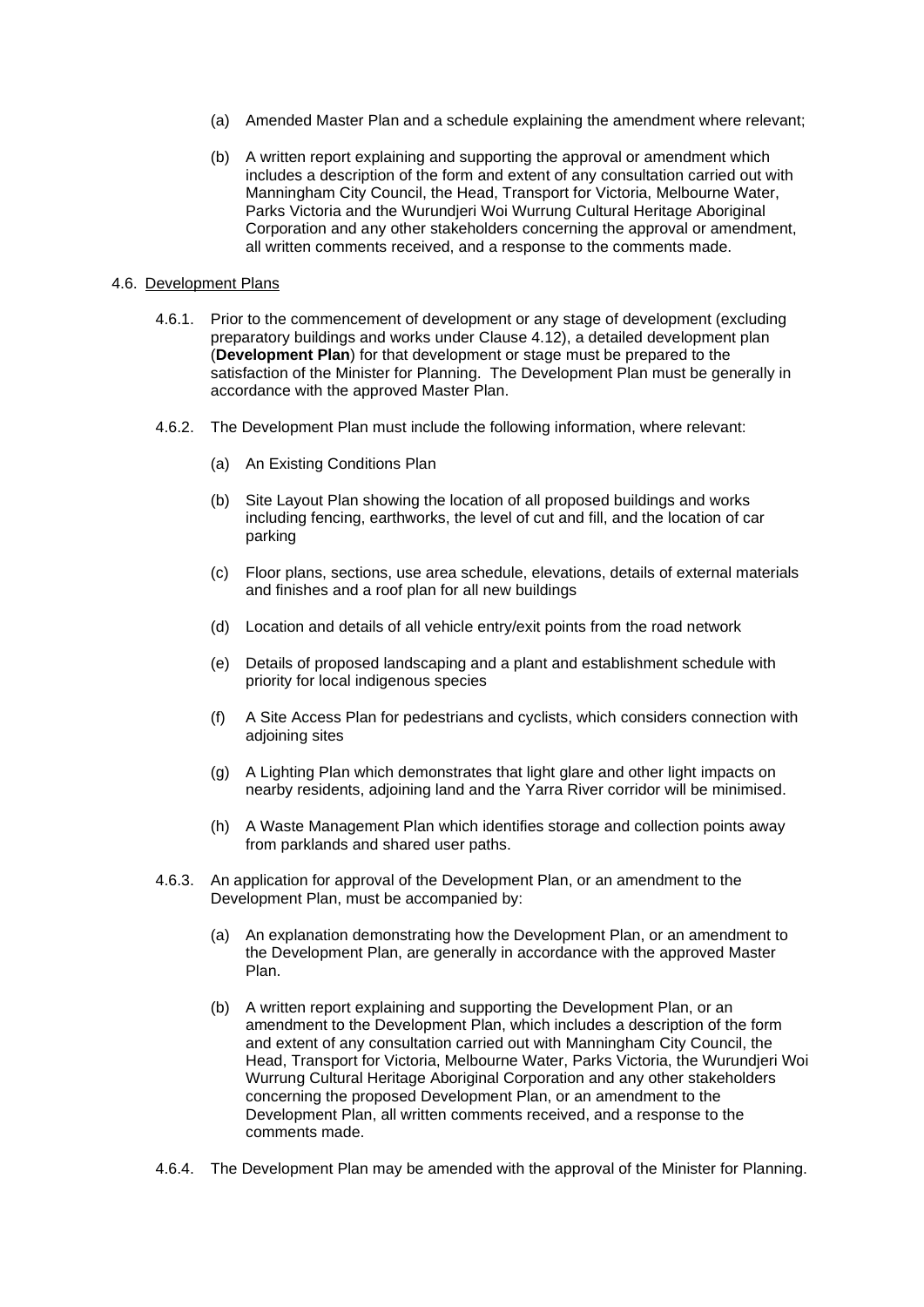- (a) Amended Master Plan and a schedule explaining the amendment where relevant;
- (b) A written report explaining and supporting the approval or amendment which includes a description of the form and extent of any consultation carried out with Manningham City Council, the Head, Transport for Victoria, Melbourne Water, Parks Victoria and the Wurundjeri Woi Wurrung Cultural Heritage Aboriginal Corporation and any other stakeholders concerning the approval or amendment, all written comments received, and a response to the comments made.

#### 4.6. Development Plans

- 4.6.1. Prior to the commencement of development or any stage of development (excluding preparatory buildings and works under Clause 4.12), a detailed development plan (**Development Plan**) for that development or stage must be prepared to the satisfaction of the Minister for Planning. The Development Plan must be generally in accordance with the approved Master Plan.
- 4.6.2. The Development Plan must include the following information, where relevant:
	- (a) An Existing Conditions Plan
	- (b) Site Layout Plan showing the location of all proposed buildings and works including fencing, earthworks, the level of cut and fill, and the location of car parking
	- (c) Floor plans, sections, use area schedule, elevations, details of external materials and finishes and a roof plan for all new buildings
	- (d) Location and details of all vehicle entry/exit points from the road network
	- (e) Details of proposed landscaping and a plant and establishment schedule with priority for local indigenous species
	- (f) A Site Access Plan for pedestrians and cyclists, which considers connection with adjoining sites
	- (g) A Lighting Plan which demonstrates that light glare and other light impacts on nearby residents, adjoining land and the Yarra River corridor will be minimised.
	- (h) A Waste Management Plan which identifies storage and collection points away from parklands and shared user paths.
- 4.6.3. An application for approval of the Development Plan, or an amendment to the Development Plan, must be accompanied by:
	- (a) An explanation demonstrating how the Development Plan, or an amendment to the Development Plan, are generally in accordance with the approved Master Plan.
	- (b) A written report explaining and supporting the Development Plan, or an amendment to the Development Plan, which includes a description of the form and extent of any consultation carried out with Manningham City Council, the Head, Transport for Victoria, Melbourne Water, Parks Victoria, the Wurundjeri Woi Wurrung Cultural Heritage Aboriginal Corporation and any other stakeholders concerning the proposed Development Plan, or an amendment to the Development Plan, all written comments received, and a response to the comments made.
- 4.6.4. The Development Plan may be amended with the approval of the Minister for Planning.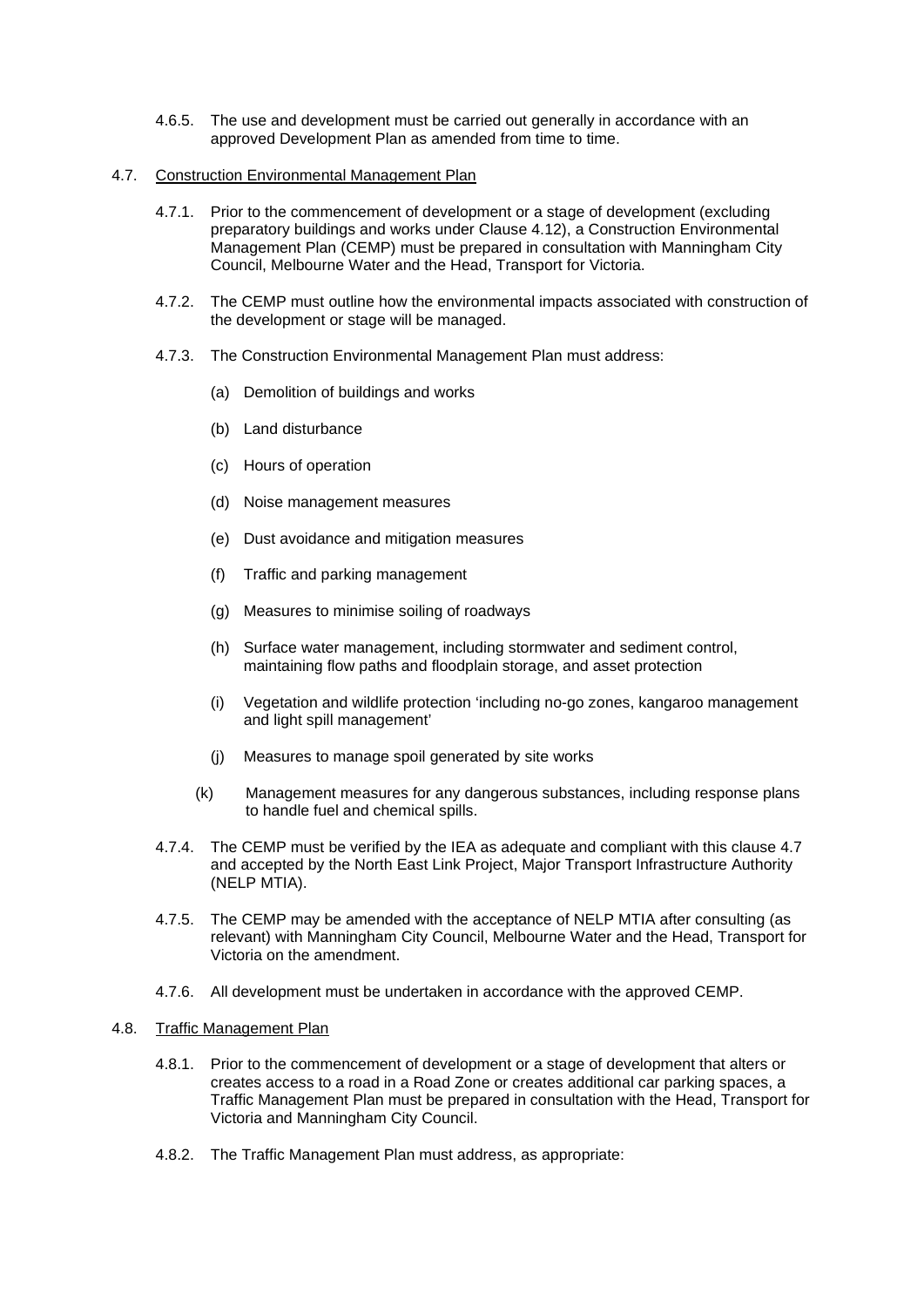- 4.6.5. The use and development must be carried out generally in accordance with an approved Development Plan as amended from time to time.
- 4.7. Construction Environmental Management Plan
	- 4.7.1. Prior to the commencement of development or a stage of development (excluding preparatory buildings and works under Clause 4.12), a Construction Environmental Management Plan (CEMP) must be prepared in consultation with Manningham City Council, Melbourne Water and the Head, Transport for Victoria.
	- 4.7.2. The CEMP must outline how the environmental impacts associated with construction of the development or stage will be managed.
	- 4.7.3. The Construction Environmental Management Plan must address:
		- (a) Demolition of buildings and works
		- (b) Land disturbance
		- (c) Hours of operation
		- (d) Noise management measures
		- (e) Dust avoidance and mitigation measures
		- (f) Traffic and parking management
		- (g) Measures to minimise soiling of roadways
		- (h) Surface water management, including stormwater and sediment control, maintaining flow paths and floodplain storage, and asset protection
		- (i) Vegetation and wildlife protection 'including no-go zones, kangaroo management and light spill management'
		- (j) Measures to manage spoil generated by site works
		- (k) Management measures for any dangerous substances, including response plans to handle fuel and chemical spills.
	- 4.7.4. The CEMP must be verified by the IEA as adequate and compliant with this clause 4.7 and accepted by the North East Link Project, Major Transport Infrastructure Authority (NELP MTIA).
	- 4.7.5. The CEMP may be amended with the acceptance of NELP MTIA after consulting (as relevant) with Manningham City Council, Melbourne Water and the Head, Transport for Victoria on the amendment.
	- 4.7.6. All development must be undertaken in accordance with the approved CEMP.

#### 4.8. Traffic Management Plan

- 4.8.1. Prior to the commencement of development or a stage of development that alters or creates access to a road in a Road Zone or creates additional car parking spaces, a Traffic Management Plan must be prepared in consultation with the Head, Transport for Victoria and Manningham City Council.
- 4.8.2. The Traffic Management Plan must address, as appropriate: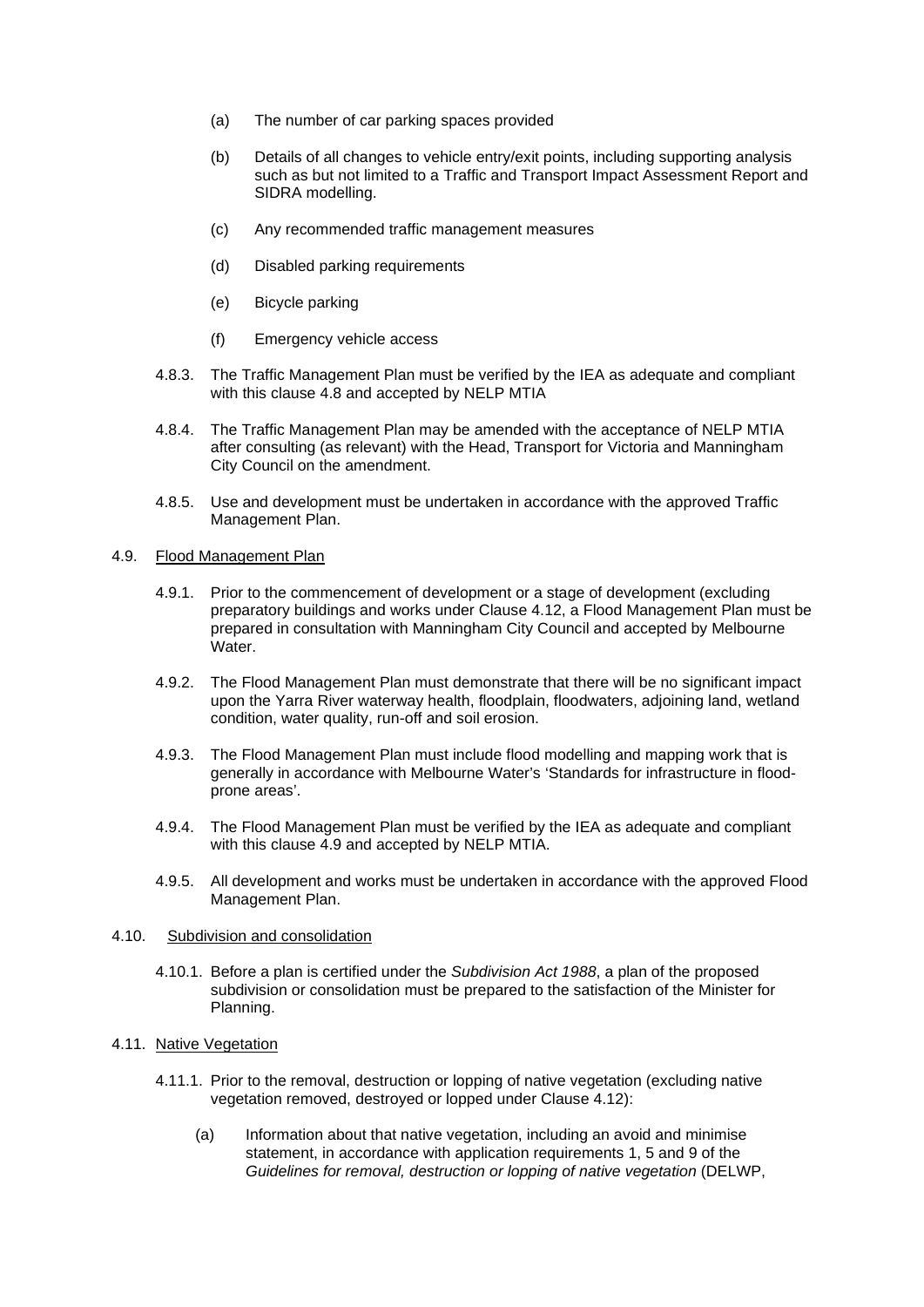- (a) The number of car parking spaces provided
- (b) Details of all changes to vehicle entry/exit points, including supporting analysis such as but not limited to a Traffic and Transport Impact Assessment Report and SIDRA modelling.
- (c) Any recommended traffic management measures
- (d) Disabled parking requirements
- (e) Bicycle parking
- (f) Emergency vehicle access
- 4.8.3. The Traffic Management Plan must be verified by the IEA as adequate and compliant with this clause 4.8 and accepted by NELP MTIA
- 4.8.4. The Traffic Management Plan may be amended with the acceptance of NELP MTIA after consulting (as relevant) with the Head, Transport for Victoria and Manningham City Council on the amendment.
- 4.8.5. Use and development must be undertaken in accordance with the approved Traffic Management Plan.

#### 4.9. Flood Management Plan

- 4.9.1. Prior to the commencement of development or a stage of development (excluding preparatory buildings and works under Clause 4.12, a Flood Management Plan must be prepared in consultation with Manningham City Council and accepted by Melbourne Water.
- 4.9.2. The Flood Management Plan must demonstrate that there will be no significant impact upon the Yarra River waterway health, floodplain, floodwaters, adjoining land, wetland condition, water quality, run-off and soil erosion.
- 4.9.3. The Flood Management Plan must include flood modelling and mapping work that is generally in accordance with Melbourne Water's 'Standards for infrastructure in floodprone areas'.
- 4.9.4. The Flood Management Plan must be verified by the IEA as adequate and compliant with this clause 4.9 and accepted by NELP MTIA.
- 4.9.5. All development and works must be undertaken in accordance with the approved Flood Management Plan.

#### 4.10. Subdivision and consolidation

4.10.1. Before a plan is certified under the *Subdivision Act 1988*, a plan of the proposed subdivision or consolidation must be prepared to the satisfaction of the Minister for Planning.

## 4.11. Native Vegetation

- 4.11.1. Prior to the removal, destruction or lopping of native vegetation (excluding native vegetation removed, destroyed or lopped under Clause 4.12):
	- (a) Information about that native vegetation, including an avoid and minimise statement, in accordance with application requirements 1, 5 and 9 of the *Guidelines for removal, destruction or lopping of native vegetation* (DELWP,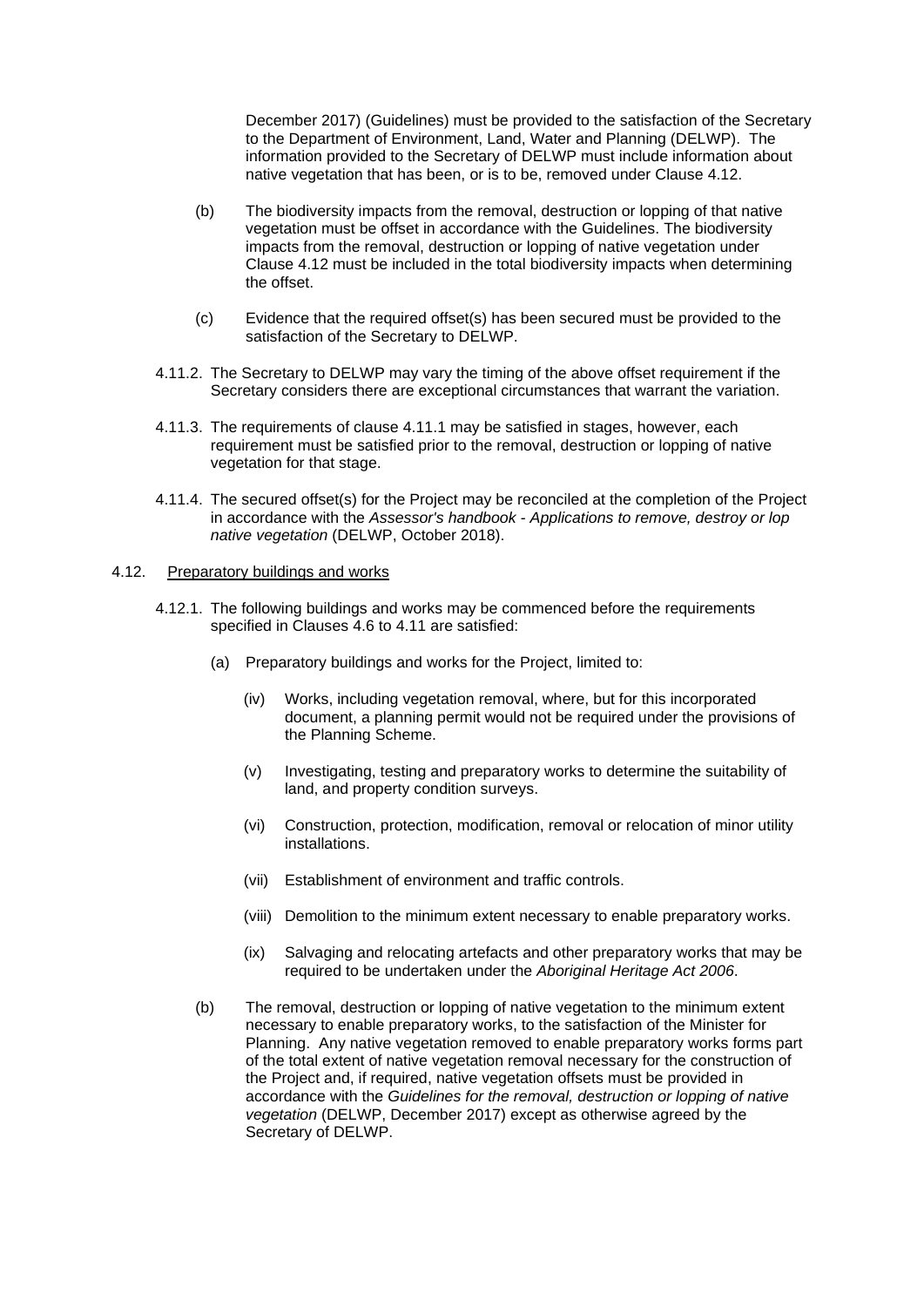December 2017) (Guidelines) must be provided to the satisfaction of the Secretary to the Department of Environment, Land, Water and Planning (DELWP). The information provided to the Secretary of DELWP must include information about native vegetation that has been, or is to be, removed under Clause 4.12.

- (b) The biodiversity impacts from the removal, destruction or lopping of that native vegetation must be offset in accordance with the Guidelines. The biodiversity impacts from the removal, destruction or lopping of native vegetation under Clause 4.12 must be included in the total biodiversity impacts when determining the offset.
- (c) Evidence that the required offset(s) has been secured must be provided to the satisfaction of the Secretary to DELWP.
- 4.11.2. The Secretary to DELWP may vary the timing of the above offset requirement if the Secretary considers there are exceptional circumstances that warrant the variation.
- 4.11.3. The requirements of clause 4.11.1 may be satisfied in stages, however, each requirement must be satisfied prior to the removal, destruction or lopping of native vegetation for that stage.
- 4.11.4. The secured offset(s) for the Project may be reconciled at the completion of the Project in accordance with the *Assessor's handbook - Applications to remove, destroy or lop native vegetation* (DELWP, October 2018).

## 4.12. Preparatory buildings and works

- 4.12.1. The following buildings and works may be commenced before the requirements specified in Clauses 4.6 to 4.11 are satisfied:
	- (a) Preparatory buildings and works for the Project, limited to:
		- (iv) Works, including vegetation removal, where, but for this incorporated document, a planning permit would not be required under the provisions of the Planning Scheme.
		- (v) Investigating, testing and preparatory works to determine the suitability of land, and property condition surveys.
		- (vi) Construction, protection, modification, removal or relocation of minor utility installations.
		- (vii) Establishment of environment and traffic controls.
		- (viii) Demolition to the minimum extent necessary to enable preparatory works.
		- (ix) Salvaging and relocating artefacts and other preparatory works that may be required to be undertaken under the *Aboriginal Heritage Act 2006*.
	- (b) The removal, destruction or lopping of native vegetation to the minimum extent necessary to enable preparatory works, to the satisfaction of the Minister for Planning. Any native vegetation removed to enable preparatory works forms part of the total extent of native vegetation removal necessary for the construction of the Project and, if required, native vegetation offsets must be provided in accordance with the *Guidelines for the removal, destruction or lopping of native vegetation* (DELWP, December 2017) except as otherwise agreed by the Secretary of DELWP.